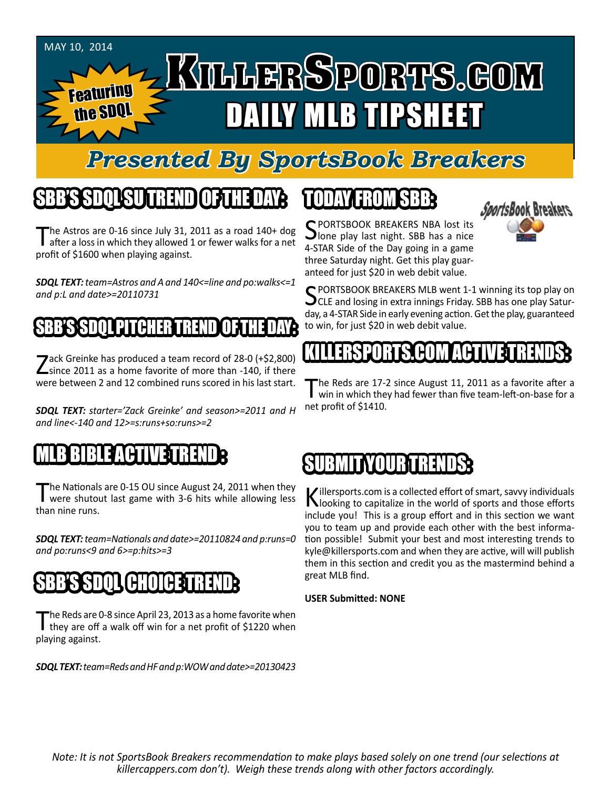

#### *Presented By SportsBook Breakers*

#### SBB'S SDQL SU TREND OF THE DAY:

The Astros are 0-16 since July 31, 2011 as a road 140+ dog **I** after a loss in which they allowed 1 or fewer walks for a net profit of \$1600 when playing against.

*SDQL TEXT: team=Astros and A and 140<=line and po:walks<=1 and p:L and date>=20110731*

#### SBB'S SDQL PITCHER TREND OF THE DAY:

Zack Greinke has produced a team record of 28-0 (+\$2,800)<br>
Since 2011 as a home favorite of more than -140, if there were between 2 and 12 combined runs scored in his last start.

*SDQL TEXT: starter='Zack Greinke' and season>=2011 and H and line<-140 and 12>=s:runs+so:runs>=2*

#### MLB BIBLE ACTIVE TRENDE

The Nationals are 0-15 OU since August 24, 2011 when they<br>were shutout last game with 3-6 hits while allowing less than nine runs.

*SDQL TEXT: team=Nationals and date>=20110824 and p:runs=0 and po:runs<9 and 6>=p:hits>=3*

#### SBB'S SDQL CHOICE TREND

The Reds are 0-8 since April 23, 2013 as a home favorite when<br>they are off a walk off win for a net profit of \$1220 when playing against.

*SDQL TEXT: team=Reds and HF and p:WOW and date>=20130423*

## TODAY HAOMSBB



SPORTSBOOK BREAKERS NBA lost its<br>Slone play last night. SBB has a nice 4-STAR Side of the Day going in a game three Saturday night. Get this play guaranteed for just \$20 in web debit value.

SPORTSBOOK BREAKERS MLB went 1-1 winning its top play on<br>CLE and losing in extra innings Friday. SBB has one play Saturday, a 4-STAR Side in early evening action. Get the play, guaranteed to win, for just \$20 in web debit value.

# KILLERSSPORTS**test** (US

The Reds are 17-2 since August 11, 2011 as a favorite after a win in which they had fewer than five team-left-on-base for a net profit of \$1410.

## SUMMIT

Killersports.com is a collected effort of smart, savvy individuals<br>Nooking to capitalize in the world of sports and those efforts include you! This is a group effort and in this section we want you to team up and provide each other with the best information possible! Submit your best and most interesting trends to kyle@killersports.com and when they are active, will will publish them in this section and credit you as the mastermind behind a great MLB find.

#### **USER Submitted: NONE**

*Note: It is not SportsBook Breakers recommendation to make plays based solely on one trend (our selections at killercappers.com don't). Weigh these trends along with other factors accordingly.*